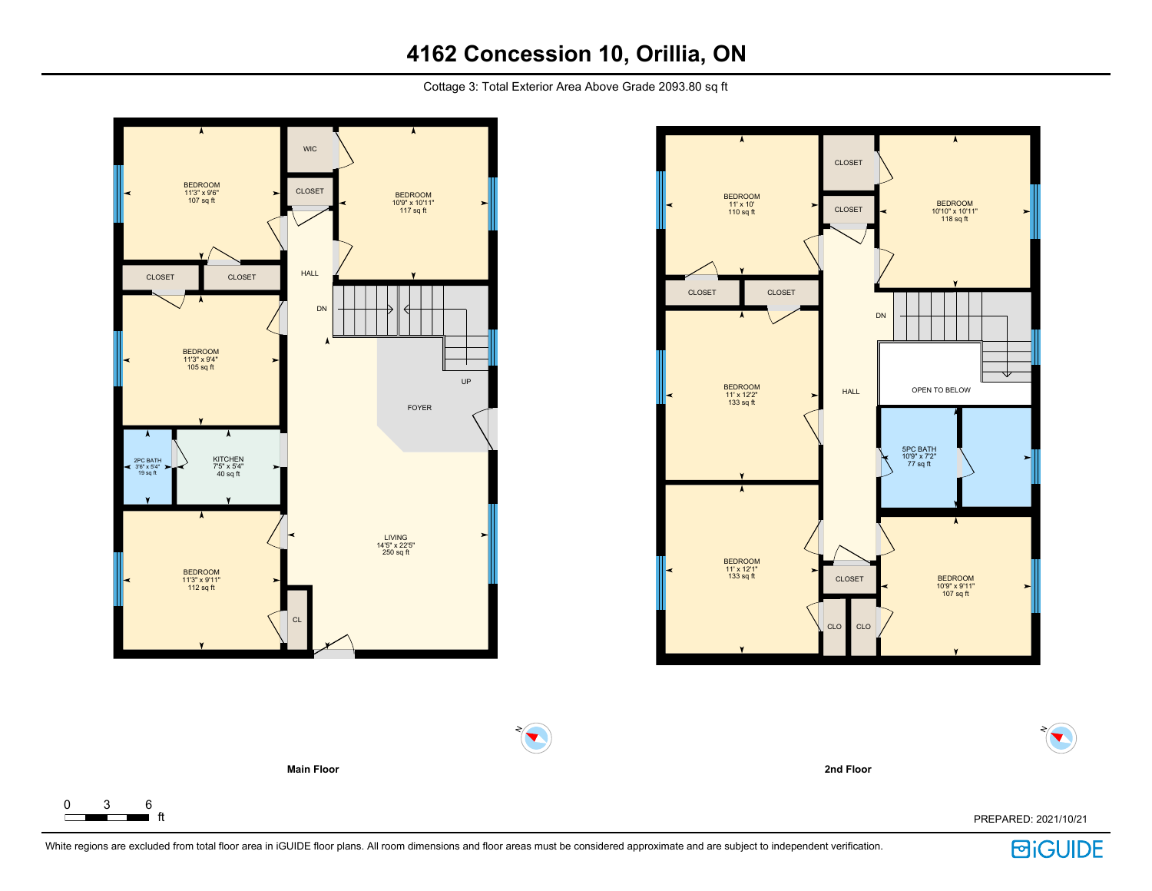Cottage 3: Total Exterior Area Above Grade 2093.80 sq ft



 $\Gamma$ 



**2nd Floor**

ft PREPARED: 2021/10/21

N

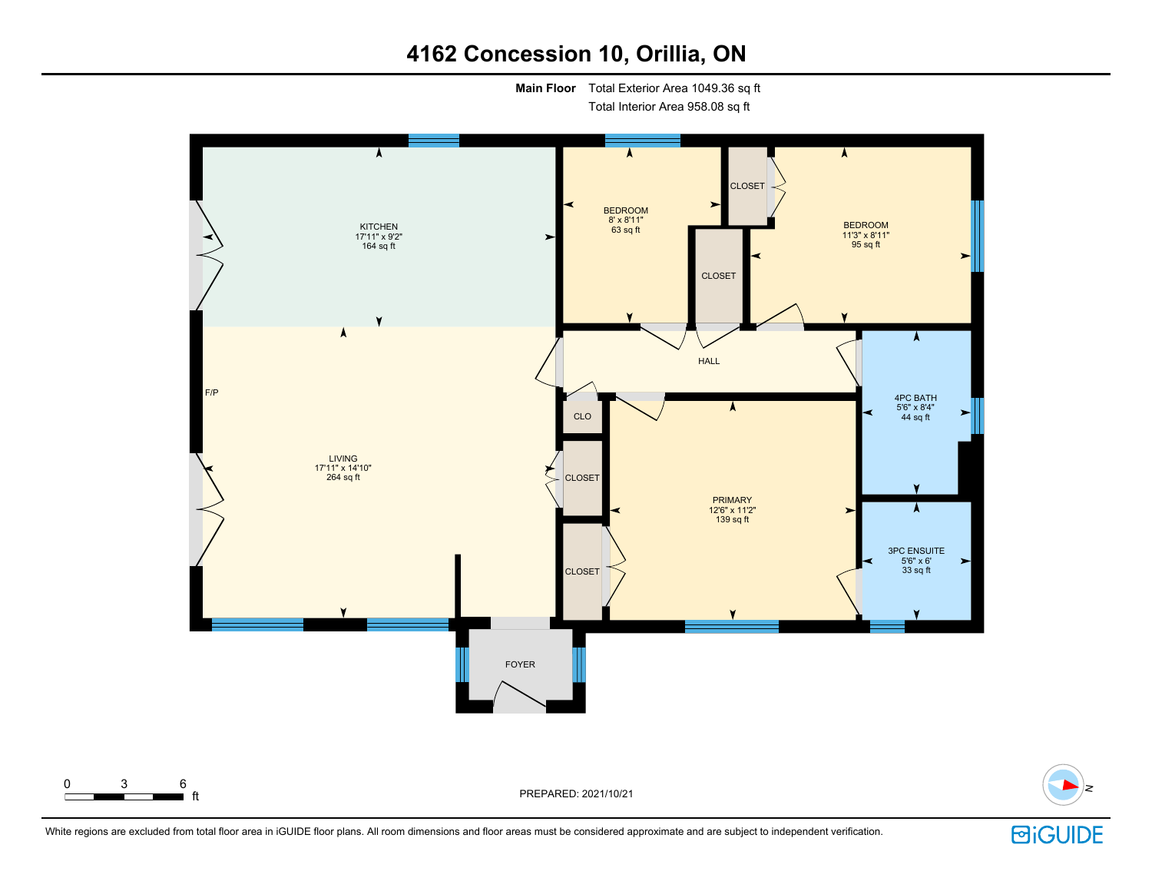**Main Floor** Total Exterior Area 1049.36 sq ft

Total Interior Area 958.08 sq ft





N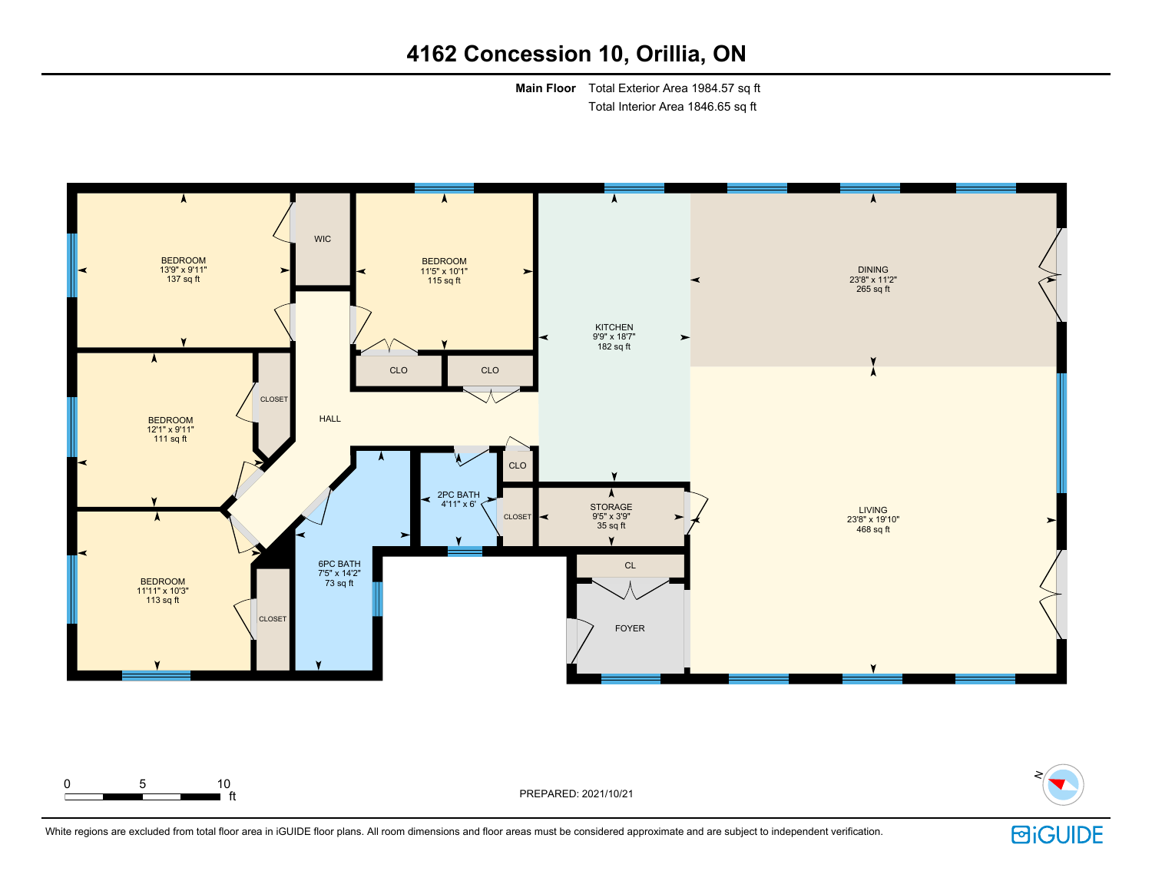**Main Floor** Total Exterior Area 1984.57 sq ft Total Interior Area 1846.65 sq ft





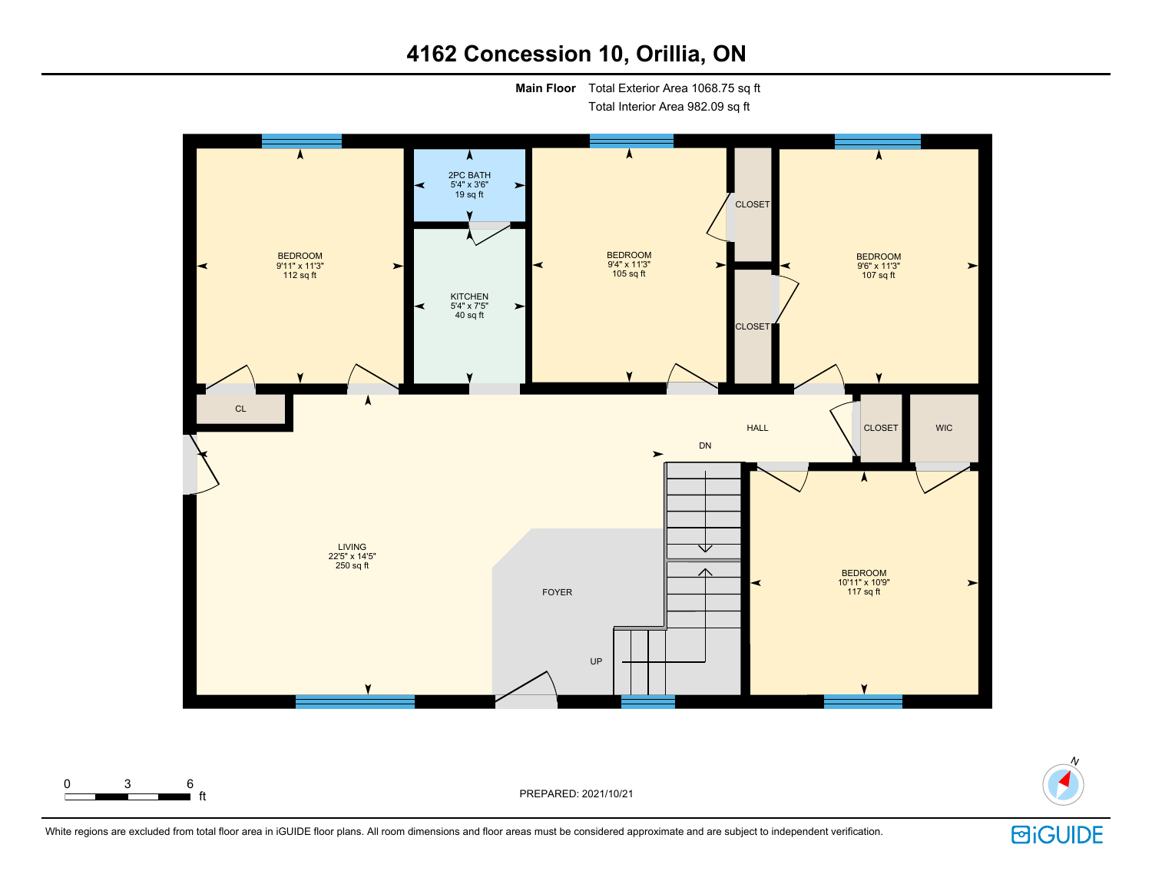**Main Floor** Total Exterior Area 1068.75 sq ft

Total Interior Area 982.09 sq ft





N

White regions are excluded from total floor area in iGUIDE floor plans. All room dimensions and floor areas must be considered approximate and are subject to independent verification.

**BiGUIDE**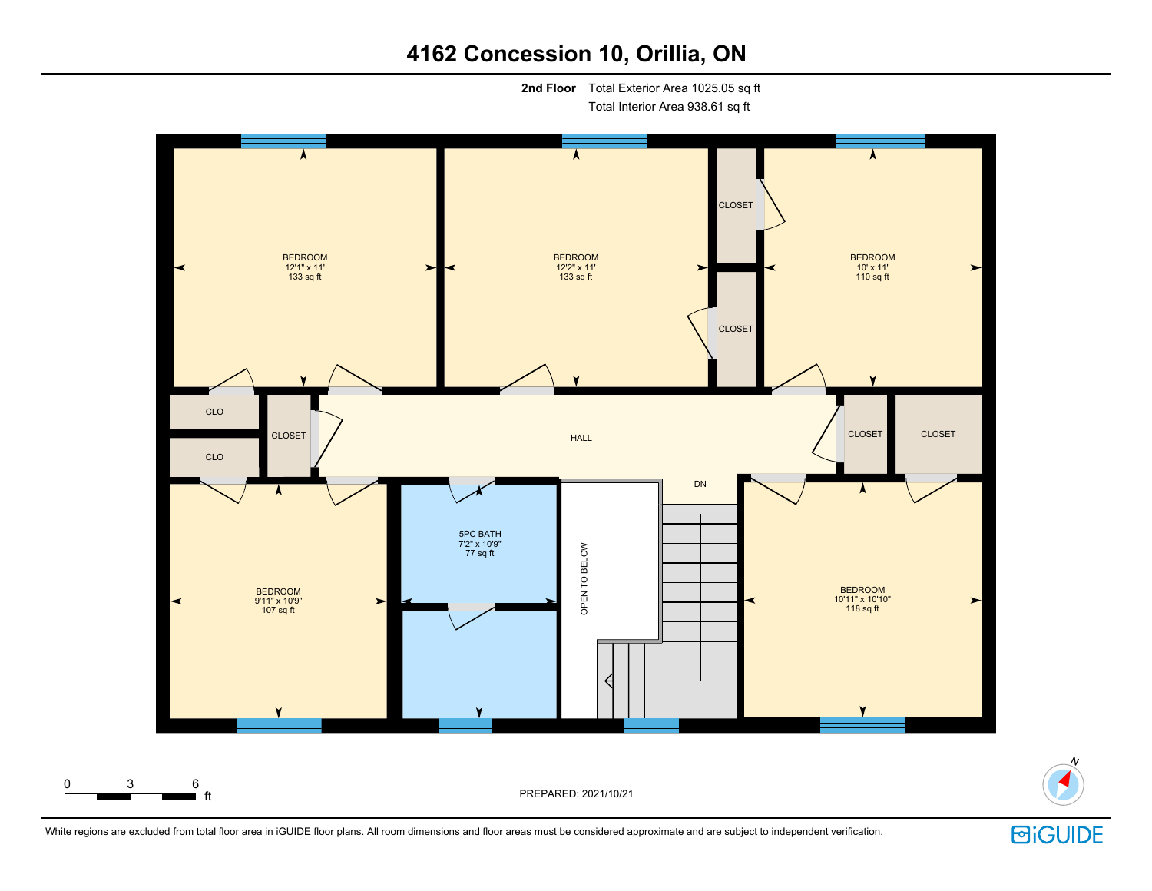**2nd Floor** Total Exterior Area 1025.05 sq ft

Total Interior Area 938.61 sq ft





N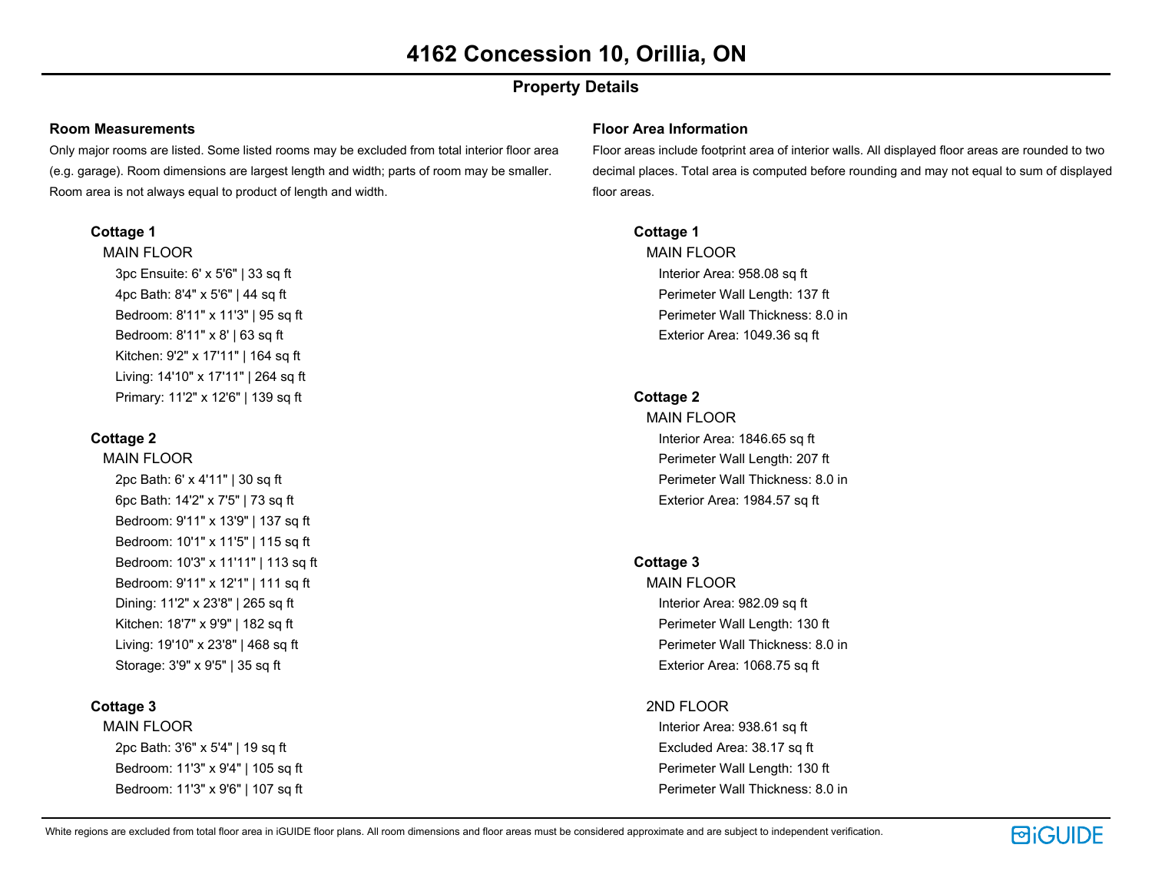# **Property Details**

#### **Room Measurements**

Only major rooms are listed. Some listed rooms may be excluded from total interior floor area (e.g. garage). Room dimensions are largest length and width; parts of room may be smaller. Room area is not always equal to product of length and width.

### **Cottage 1**

MAIN FLOOR 3pc Ensuite: 6' x 5'6" | 33 sq ft 4pc Bath: 8'4" x 5'6" | 44 sq ft Bedroom: 8'11" x 11'3" | 95 sq ft Bedroom: 8'11" x 8' | 63 sq ft Kitchen: 9'2" x 17'11" | 164 sq ft Living: 14'10" x 17'11" | 264 sq ft Primary: 11'2" x 12'6" | 139 sq ft

### **Cottage 2**

MAIN FLOOR 2pc Bath: 6' x 4'11" | 30 sq ft 6pc Bath: 14'2" x 7'5" | 73 sq ft Bedroom: 9'11" x 13'9" | 137 sq ft Bedroom: 10'1" x 11'5" | 115 sq ft Bedroom: 10'3" x 11'11" | 113 sq ft Bedroom: 9'11" x 12'1" | 111 sq ft Dining: 11'2" x 23'8" | 265 sq ft Kitchen: 18'7" x 9'9" | 182 sq ft Living: 19'10" x 23'8" | 468 sq ft Storage: 3'9" x 9'5" | 35 sq ft

## **Cottage 3**

MAIN FLOOR 2pc Bath: 3'6" x 5'4" | 19 sq ft Bedroom: 11'3" x 9'4" | 105 sq ft Bedroom: 11'3" x 9'6" | 107 sq ft

#### **Floor Area Information**

Floor areas include footprint area of interior walls. All displayed floor areas are rounded to two decimal places. Total area is computed before rounding and may not equal to sum of displayed floor areas.

### **Cottage 1**

MAIN FLOOR Interior Area: 958.08 sq ft Perimeter Wall Length: 137 ft Perimeter Wall Thickness: 8.0 in Exterior Area: 1049.36 sq ft

### **Cottage 2**

MAIN FLOOR Interior Area: 1846.65 sq ft Perimeter Wall Length: 207 ft Perimeter Wall Thickness: 8.0 in Exterior Area: 1984.57 sq ft

## **Cottage 3**

MAIN FLOOR Interior Area: 982.09 sq ft Perimeter Wall Length: 130 ft Perimeter Wall Thickness: 8.0 in Exterior Area: 1068.75 sq ft

### 2ND FLOOR

Interior Area: 938.61 sq ft Excluded Area: 38.17 sq ft Perimeter Wall Length: 130 ft Perimeter Wall Thickness: 8.0 in

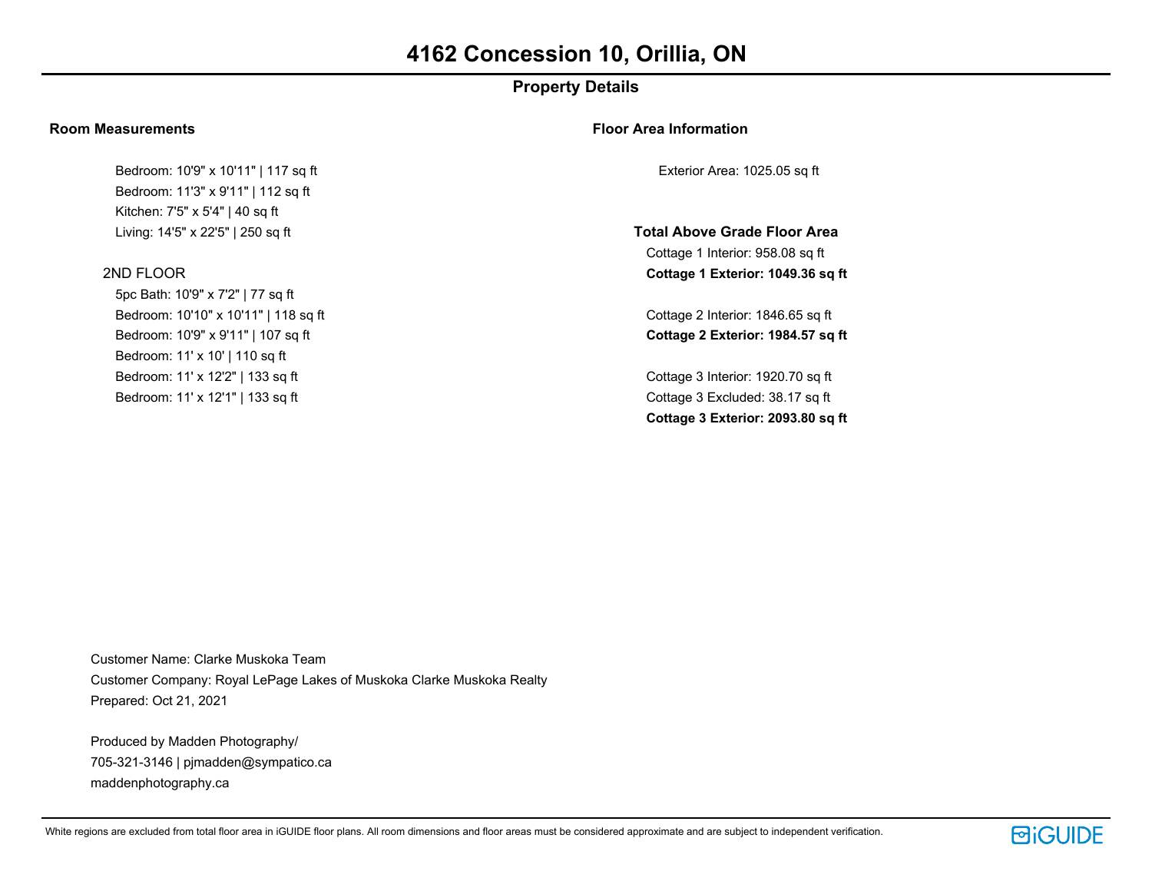# **Property Details**

#### **Room Measurements**

Bedroom: 10'9" x 10'11" | 117 sq ft Bedroom: 11'3" x 9'11" | 112 sq ft Kitchen: 7'5" x 5'4" | 40 sq ft Living: 14'5" x 22'5" | 250 sq ft

#### 2ND FLOOR

5pc Bath: 10'9" x 7'2" | 77 sq ft Bedroom: 10'10" x 10'11" | 118 sq ft Bedroom: 10'9" x 9'11" | 107 sq ft Bedroom: 11' x 10' | 110 sq ft Bedroom: 11' x 12'2" | 133 sq ft Bedroom: 11' x 12'1" | 133 sq ft

#### **Floor Area Information**

Exterior Area: 1025.05 sq ft

**Total Above Grade Floor Area** Cottage 1 Interior: 958.08 sq ft **Cottage 1 Exterior: 1049.36 sq ft**

Cottage 2 Interior: 1846.65 sq ft **Cottage 2 Exterior: 1984.57 sq ft**

Cottage 3 Interior: 1920.70 sq ft Cottage 3 Excluded: 38.17 sq ft **Cottage 3 Exterior: 2093.80 sq ft**

Customer Name: Clarke Muskoka Team Customer Company: Royal LePage Lakes of Muskoka Clarke Muskoka Realty Prepared: Oct 21, 2021

Produced by Madden Photography/ 705-321-3146 | pjmadden@sympatico.ca maddenphotography.ca